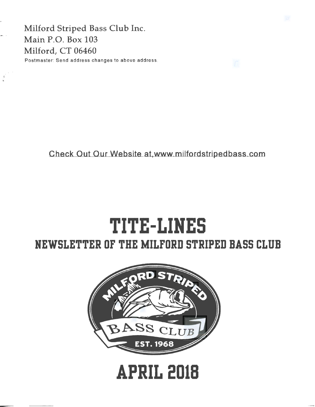Milford Striped Bass Club Inc. Main P.O. Box 103 Milford, CT 06460 Postmaster: Send address changes to above address.

### Check Out Our Website at,www milfordstripedbass com

# **TITE-LIHES**

## **NEWSLETTER OF THE MILFORD STRIPED BASS CLUB**

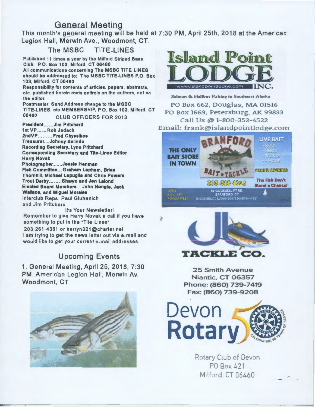#### General Meeting

This month's general meeting will be held at 7:30 PM, April 25th, 2018 at the American Legion Hall, Merwin Ave., Woodmont, CT.

#### The MSBC TITE-LINES

Published 11 times a year by the Milford Striped Bass Club. P.O. Box 103, Milford, CT 06460

All communications concerning The MSBC TITE-LINES should be addressed to: The MSBC TITE-LINES P.O. Box 103, Milford, CT 06460

Responsibility for contents of articles, papers, abstracts, etc. published herein rests entirely on the authors, not on the editor.

Postmaster: Send Address change to the MSBC TITE-LINES, c/o MEMBERSHIP, P.O. Box 103, Milford, CT 06460 CLUB OFFICERS FOR 2013

President....... Jim Pritchard 1st VP ...... Rob Jadach

2ndVP ... ... ... Fred Chyssikos Treasurer....Johnny Belinda Recording Secretary..Lynn Pritchard Corresponding Secretary and Tite-Lines Editor, Harry Novak Photographer.......Jessie Henman

Fish Committee ... Graham Lapham, Brian Thornhill, Michael Lapuglia and Chris Powers Trout Derby ........ Shawn and Jen Lalond Elected Board Members... John Nangle, Jack Wallace, and Miguel Morales Interclub Reps. Paul Gluhanich

and Jim Pritchard

It's Your Newsletter! Remember to give Harry Novak a call if you have something to put in the "Tite-Lines".

203-261 -4361 or harryn321 @charter. net I am trying to get the news letter out via e-mail and would like to get your current e-mail addresses.

#### Upcoming Events

1. General Meeting, April 25, 2018, 7:30 PM, American Legion Hall, Merwin Av. Woodmont, CT





Salmon & Halibut Fishing in Southeast Alaska

PO Box 662. Douglas, MA 01516 PO Box 1669, Petersburg. AK 99833 Call Us @ 1-800-352-4522 Email: frank@islandpointlodge.com





25 Smith Avenue Niantic, CT 06357 Phone: (860) 739-7419 Fax: (860) 739-9208



Rotary Club of Devon P<sub>0</sub> Box 421 Milford CT 06460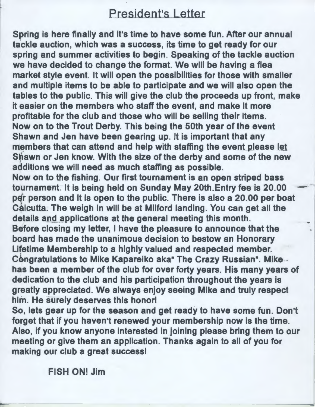## President's Letter

Spring is here finally and it's time to have some fun. After our annual tackle auction, which was a success, its time to get ready for our spring and summer activities to begin. Speaking of the tackle auction we have decided to change the format. We will be having a flea market style event. It will open the possibilities for those with smaller and multiple items to be able to participate and we will also open the tables to the public. This will give the club the proceeds up front, make it easier on the members who staff the event. and make it more profitable for the club and those who will be selling their items. Now on to the Trout Derby. This being the 50th year of the event Shawn and Jen have been gearing up. It is important that any members that can attend and help with staffing the event please let Shawn or Jen know. With the size of the derby and some of the new additions we will need as much staffing as possible. Now on to the fishing. Our first tournament is an open striped bass tournament. It is being held on Sunday May 20th.Entry fee is 20.00 pdr person and it is open to the public. There is also a 20.00 per boat Calcutta. The weigh in will be at Milford landing. You can get all the details and applications at the general meeting this month. Before closing my letter, I have the pleasure to announce that the board has made the unanimous decision to bestow an Honorary Lifetime Membership to a highly valued and respected member. Congratulations to Mike Kapareiko aka<sup>•</sup> The Crazy Russian<sup>•</sup>. Mike has been a member of the club for over forty years. His many years of dedication to the club and his participation throughout the years is greatly appreciated. We always enjoy seeing Mike and truly respect him. He surely deserves this honorl So, lets gear up for the season and get ready to have some fun. Don't

forget that if you haven't renewed your membership now is the time. Also, if you know anyone interested in joining please bring them to our meeting or give them an application. Thanks again to all of you for making our club a great success!

FISH ONI Jim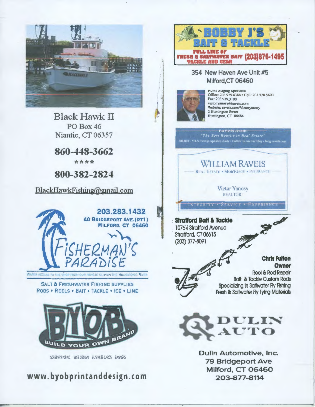

**Black Hawk II PO Box 46** Niantic, CT 06357

860-448-3662

\*\*\*\*

800-382-2824

BlackHawkFishing@gmail.com



FROM OUR PRIVATE OL P ON THE HOUSATONIC RIVER **WATER AC** 

**SALT & FRESHWATER FISHING SUPPLIES** RODS . REELS . BAIT . TACKLE . ICE . LINE



KRENFRATING WEBDESCHLY BUSINESSCHRY BANKES

www.byobprintanddesign.com



#### 354 New Haven Ave Unit #5 Milford.CT 06460



riome Staging Specialist<br>Office: 203.929.6388 • Cell: 203.520.5690 Fax: 203,929,3100 victor.yanosy@raveis.com Website: raveis.com/Victoryanosy 2 Huntington Street Huntington, CT 06484

raveis.com<br>"The Best Website in Real Estate" 0,000+ MLS listings updated daily . Follow us on our blog - blog.ruve

WILLIAM RAVEIS

REAL ESTATE . MORTGAGE . INSURANCE **Victor Yanosy REALTOR®** INTEGRITY . SERVICE . EXPERIENCE **Stratford Bait & Tackle** 

1076% Stratford Avenue Stratford, CT 06615  $(203)$  377-8091





**Chris Fulton** Owner **Reel & Rod Repair** 

**Balt & Tackle Custom Rods** Specializing in Saltwater Fly Fishing Fresh & Saltwater Fly Tying Materials



Dulin Automotive, Inc. **79 Bridgeport Ave** Milford, CT 06460 203-877-8114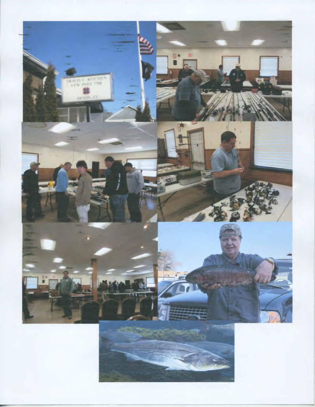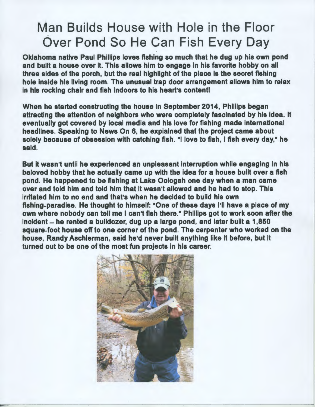## Man Builds House with Hole in the Floor Over Pond So He Can Fish Every Day

Oklahoma native Paul Phillips loves fishing so much that he dug up his own pond and built a house over it. This allows him to engage in his favorite hobby on all three sides of the porch, but the real highlight of the place is the secret fishing hole Inside his living room. The unusual trap door arrangement allows him to relax In his rocking chair and fish Indoors to hla heart's content!

When he started constructing the house In September 2014, Phillips began attracting the attention of neighbors who were completely fascinated by his idea. It eventually got covered by local media and his love for fishing made international headlines. Speaking to News On 8, he explained that the project came about solely because of obsession with catching fish. "I love to fish, I fish every day," he said.

But it wasn't until he experienced an unpleasant interruption while engaging in his beloved hobby that he actually came up with the idea for a house built over a fish pond. He happened to be fishing at Lake Oologah one day when a man came over and told him and told him that It wasn't allowed and he had to atop. This Irritated him to no end and that's when he decided to build his own fishing-paradise. He thought to himself: "One of these days i'll have a place of my own where nobody can tell me I can't fish there." Phillips got to work soon after the incident - he rented a buildozer, dug up a large pond, and later built a 1,850 square-foot house off to one corner of the pond. The carpenter who worked on the house, Randy Aachlerman, said he'd never built anything like It before, but It turned out to be one of the moat fun projects In his career.